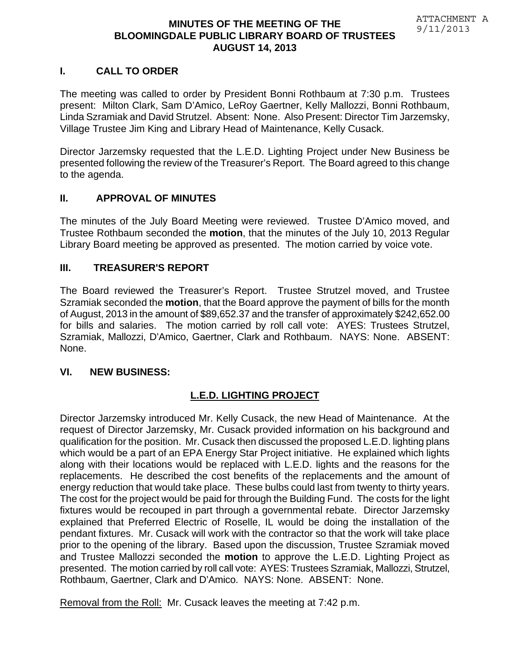# **I. CALL TO ORDER**

The meeting was called to order by President Bonni Rothbaum at 7:30 p.m. Trustees present: Milton Clark, Sam D'Amico, LeRoy Gaertner, Kelly Mallozzi, Bonni Rothbaum, Linda Szramiak and David Strutzel. Absent: None. Also Present: Director Tim Jarzemsky, Village Trustee Jim King and Library Head of Maintenance, Kelly Cusack.

Director Jarzemsky requested that the L.E.D. Lighting Project under New Business be presented following the review of the Treasurer's Report. The Board agreed to this change to the agenda.

# **II. APPROVAL OF MINUTES**

The minutes of the July Board Meeting were reviewed. Trustee D'Amico moved, and Trustee Rothbaum seconded the **motion**, that the minutes of the July 10, 2013 Regular Library Board meeting be approved as presented. The motion carried by voice vote.

# **III. TREASURER'S REPORT**

The Board reviewed the Treasurer's Report. Trustee Strutzel moved, and Trustee Szramiak seconded the **motion**, that the Board approve the payment of bills for the month of August, 2013 in the amount of \$89,652.37 and the transfer of approximately \$242,652.00 for bills and salaries. The motion carried by roll call vote: AYES: Trustees Strutzel, Szramiak, Mallozzi, D'Amico, Gaertner, Clark and Rothbaum. NAYS: None. ABSENT: None.

# **VI. NEW BUSINESS:**

# **L.E.D. LIGHTING PROJECT**

Director Jarzemsky introduced Mr. Kelly Cusack, the new Head of Maintenance. At the request of Director Jarzemsky, Mr. Cusack provided information on his background and qualification for the position. Mr. Cusack then discussed the proposed L.E.D. lighting plans which would be a part of an EPA Energy Star Project initiative. He explained which lights along with their locations would be replaced with L.E.D. lights and the reasons for the replacements. He described the cost benefits of the replacements and the amount of energy reduction that would take place. These bulbs could last from twenty to thirty years. The cost for the project would be paid for through the Building Fund. The costs for the light fixtures would be recouped in part through a governmental rebate. Director Jarzemsky explained that Preferred Electric of Roselle, IL would be doing the installation of the pendant fixtures. Mr. Cusack will work with the contractor so that the work will take place prior to the opening of the library. Based upon the discussion, Trustee Szramiak moved and Trustee Mallozzi seconded the **motion** to approve the L.E.D. Lighting Project as presented. The motion carried by roll call vote: AYES: Trustees Szramiak, Mallozzi, Strutzel, Rothbaum, Gaertner, Clark and D'Amico. NAYS: None. ABSENT: None.

Removal from the Roll: Mr. Cusack leaves the meeting at 7:42 p.m.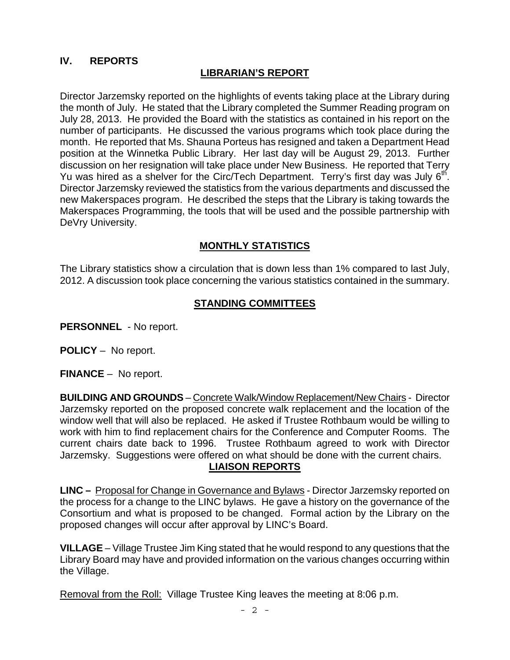# **IV. REPORTS**

#### **LIBRARIAN'S REPORT**

Director Jarzemsky reported on the highlights of events taking place at the Library during the month of July. He stated that the Library completed the Summer Reading program on July 28, 2013. He provided the Board with the statistics as contained in his report on the number of participants. He discussed the various programs which took place during the month. He reported that Ms. Shauna Porteus has resigned and taken a Department Head position at the Winnetka Public Library. Her last day will be August 29, 2013. Further discussion on her resignation will take place under New Business. He reported that Terry Yu was hired as a shelver for the Circ/Tech Department. Terry's first day was July  $6<sup>th</sup>$ . Director Jarzemsky reviewed the statistics from the various departments and discussed the new Makerspaces program. He described the steps that the Library is taking towards the Makerspaces Programming, the tools that will be used and the possible partnership with DeVry University.

#### **MONTHLY STATISTICS**

The Library statistics show a circulation that is down less than 1% compared to last July, 2012. A discussion took place concerning the various statistics contained in the summary.

#### **STANDING COMMITTEES**

**PERSONNEL** - No report.

**POLICY** – No report.

**FINANCE** – No report.

**BUILDING AND GROUNDS** – Concrete Walk/Window Replacement/New Chairs - Director Jarzemsky reported on the proposed concrete walk replacement and the location of the window well that will also be replaced. He asked if Trustee Rothbaum would be willing to work with him to find replacement chairs for the Conference and Computer Rooms. The current chairs date back to 1996. Trustee Rothbaum agreed to work with Director Jarzemsky. Suggestions were offered on what should be done with the current chairs. **LIAISON REPORTS** 

**LINC –** Proposal for Change in Governance and Bylaws - Director Jarzemsky reported on the process for a change to the LINC bylaws. He gave a history on the governance of the Consortium and what is proposed to be changed. Formal action by the Library on the proposed changes will occur after approval by LINC's Board.

**VILLAGE** – Village Trustee Jim King stated that he would respond to any questions that the Library Board may have and provided information on the various changes occurring within the Village.

Removal from the Roll: Village Trustee King leaves the meeting at 8:06 p.m.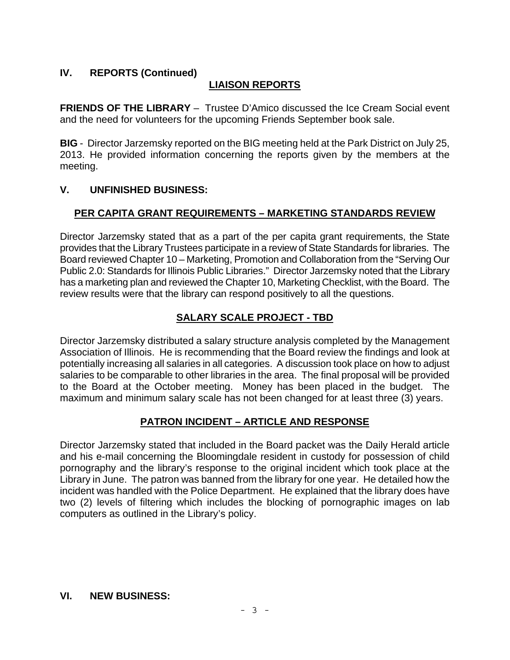# **IV. REPORTS (Continued)**

# **LIAISON REPORTS**

**FRIENDS OF THE LIBRARY** – Trustee D'Amico discussed the Ice Cream Social event and the need for volunteers for the upcoming Friends September book sale.

**BIG** - Director Jarzemsky reported on the BIG meeting held at the Park District on July 25, 2013. He provided information concerning the reports given by the members at the meeting.

# **V. UNFINISHED BUSINESS:**

# **PER CAPITA GRANT REQUIREMENTS – MARKETING STANDARDS REVIEW**

Director Jarzemsky stated that as a part of the per capita grant requirements, the State provides that the Library Trustees participate in a review of State Standards for libraries. The Board reviewed Chapter 10 – Marketing, Promotion and Collaboration from the "Serving Our Public 2.0: Standards for Illinois Public Libraries." Director Jarzemsky noted that the Library has a marketing plan and reviewed the Chapter 10, Marketing Checklist, with the Board. The review results were that the library can respond positively to all the questions.

# **SALARY SCALE PROJECT - TBD**

Director Jarzemsky distributed a salary structure analysis completed by the Management Association of Illinois. He is recommending that the Board review the findings and look at potentially increasing all salaries in all categories. A discussion took place on how to adjust salaries to be comparable to other libraries in the area. The final proposal will be provided to the Board at the October meeting. Money has been placed in the budget. The maximum and minimum salary scale has not been changed for at least three (3) years.

# **PATRON INCIDENT – ARTICLE AND RESPONSE**

Director Jarzemsky stated that included in the Board packet was the Daily Herald article and his e-mail concerning the Bloomingdale resident in custody for possession of child pornography and the library's response to the original incident which took place at the Library in June. The patron was banned from the library for one year. He detailed how the incident was handled with the Police Department. He explained that the library does have two (2) levels of filtering which includes the blocking of pornographic images on lab computers as outlined in the Library's policy.

#### **VI. NEW BUSINESS:**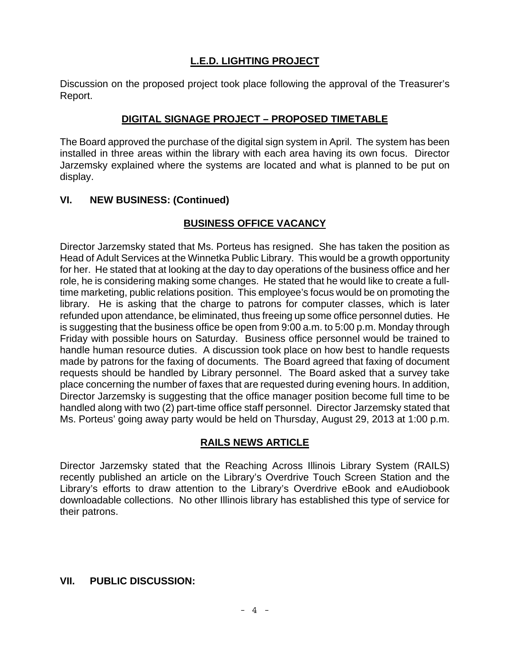# **L.E.D. LIGHTING PROJECT**

Discussion on the proposed project took place following the approval of the Treasurer's Report.

#### **DIGITAL SIGNAGE PROJECT – PROPOSED TIMETABLE**

The Board approved the purchase of the digital sign system in April. The system has been installed in three areas within the library with each area having its own focus. Director Jarzemsky explained where the systems are located and what is planned to be put on display.

#### **VI. NEW BUSINESS: (Continued)**

# **BUSINESS OFFICE VACANCY**

Director Jarzemsky stated that Ms. Porteus has resigned. She has taken the position as Head of Adult Services at the Winnetka Public Library. This would be a growth opportunity for her. He stated that at looking at the day to day operations of the business office and her role, he is considering making some changes. He stated that he would like to create a fulltime marketing, public relations position. This employee's focus would be on promoting the library. He is asking that the charge to patrons for computer classes, which is later refunded upon attendance, be eliminated, thus freeing up some office personnel duties. He is suggesting that the business office be open from 9:00 a.m. to 5:00 p.m. Monday through Friday with possible hours on Saturday. Business office personnel would be trained to handle human resource duties. A discussion took place on how best to handle requests made by patrons for the faxing of documents. The Board agreed that faxing of document requests should be handled by Library personnel. The Board asked that a survey take place concerning the number of faxes that are requested during evening hours. In addition, Director Jarzemsky is suggesting that the office manager position become full time to be handled along with two (2) part-time office staff personnel. Director Jarzemsky stated that Ms. Porteus' going away party would be held on Thursday, August 29, 2013 at 1:00 p.m.

# **RAILS NEWS ARTICLE**

Director Jarzemsky stated that the Reaching Across Illinois Library System (RAILS) recently published an article on the Library's Overdrive Touch Screen Station and the Library's efforts to draw attention to the Library's Overdrive eBook and eAudiobook downloadable collections. No other Illinois library has established this type of service for their patrons.

#### **VII. PUBLIC DISCUSSION:**